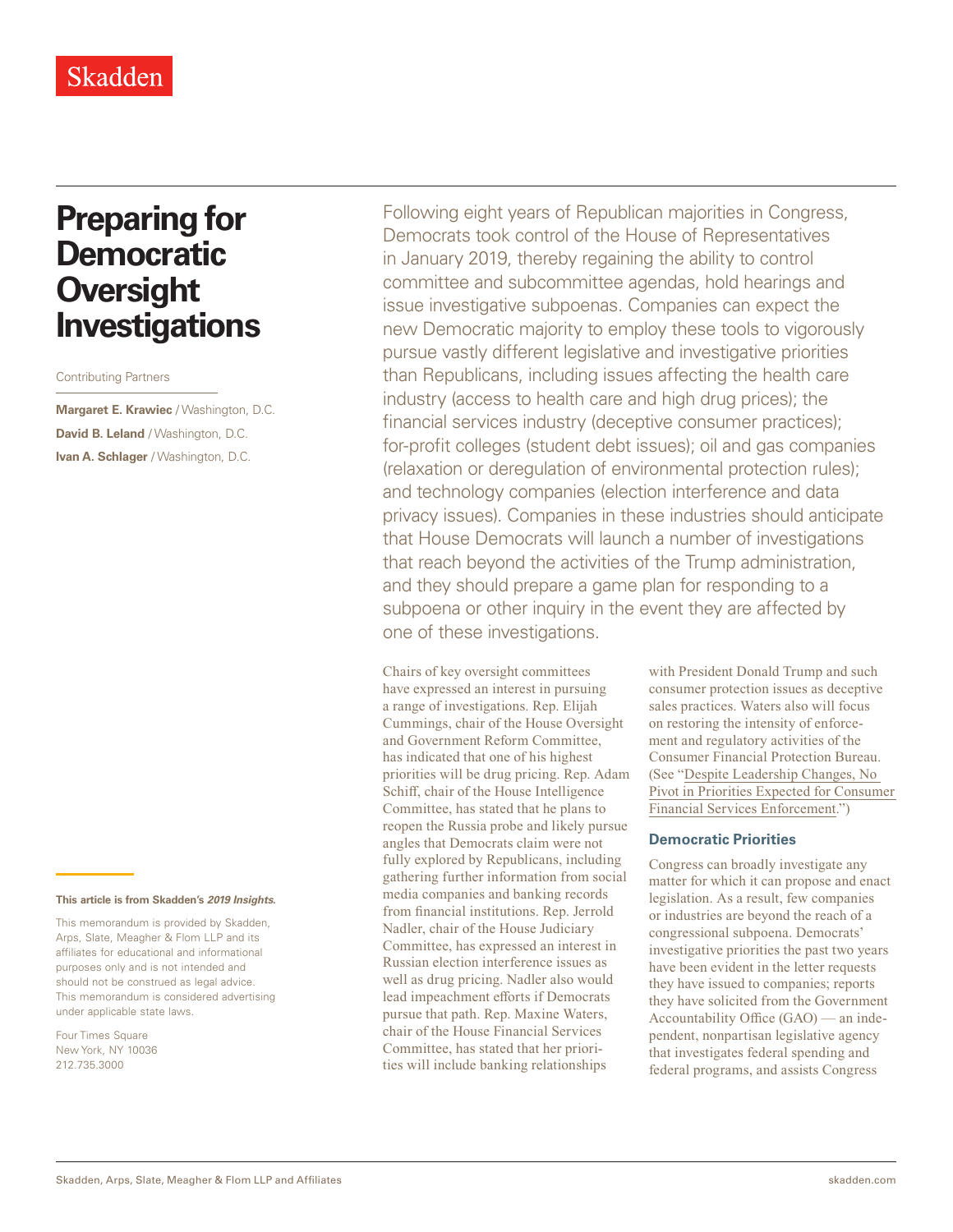# **Preparing for Democratic Oversight Investigations**

Contributing Partners

**Margaret E. Krawiec** / Washington, D.C. **David B. Leland** / Washington, D.C. **Ivan A. Schlager** / Washington, D.C.

#### **This article is from Skadden's** *[2019 Insights](https://www.skadden.com/insights/publications/2019/01/2019-insights/2019-insights)***.**

This memorandum is provided by Skadden, Arps, Slate, Meagher & Flom LLP and its affiliates for educational and informational purposes only and is not intended and should not be construed as legal advice. This memorandum is considered advertising under applicable state laws.

Four Times Square New York, NY 10036 212.735.3000

Following eight years of Republican majorities in Congress, Democrats took control of the House of Representatives in January 2019, thereby regaining the ability to control committee and subcommittee agendas, hold hearings and issue investigative subpoenas. Companies can expect the new Democratic majority to employ these tools to vigorously pursue vastly different legislative and investigative priorities than Republicans, including issues affecting the health care industry (access to health care and high drug prices); the financial services industry (deceptive consumer practices); for-profit colleges (student debt issues); oil and gas companies (relaxation or deregulation of environmental protection rules); and technology companies (election interference and data privacy issues). Companies in these industries should anticipate that House Democrats will launch a number of investigations that reach beyond the activities of the Trump administration, and they should prepare a game plan for responding to a subpoena or other inquiry in the event they are affected by one of these investigations.

Chairs of key oversight committees have expressed an interest in pursuing a range of investigations. Rep. Elijah Cummings, chair of the House Oversight and Government Reform Committee, has indicated that one of his highest priorities will be drug pricing. Rep. Adam Schiff, chair of the House Intelligence Committee, has stated that he plans to reopen the Russia probe and likely pursue angles that Democrats claim were not fully explored by Republicans, including gathering further information from social media companies and banking records from financial institutions. Rep. Jerrold Nadler, chair of the House Judiciary Committee, has expressed an interest in Russian election interference issues as well as drug pricing. Nadler also would lead impeachment efforts if Democrats pursue that path. Rep. Maxine Waters, chair of the House Financial Services Committee, has stated that her priorities will include banking relationships

with President Donald Trump and such consumer protection issues as deceptive sales practices. Waters also will focus on restoring the intensity of enforcement and regulatory activities of the Consumer Financial Protection Bureau. (See "[Despite Leadership Changes, No](https://www.skadden.com/insights/publications/2019/01/2019-insights/despite-leadership-changes-no-pivot)  [Pivot in Priorities Expected for Consumer](https://www.skadden.com/insights/publications/2019/01/2019-insights/despite-leadership-changes-no-pivot)  [Financial Services Enforcement](https://www.skadden.com/insights/publications/2019/01/2019-insights/despite-leadership-changes-no-pivot).")

## **Democratic Priorities**

Congress can broadly investigate any matter for which it can propose and enact legislation. As a result, few companies or industries are beyond the reach of a congressional subpoena. Democrats' investigative priorities the past two years have been evident in the letter requests they have issued to companies; reports they have solicited from the Government Accountability Office (GAO) — an independent, nonpartisan legislative agency that investigates federal spending and federal programs, and assists Congress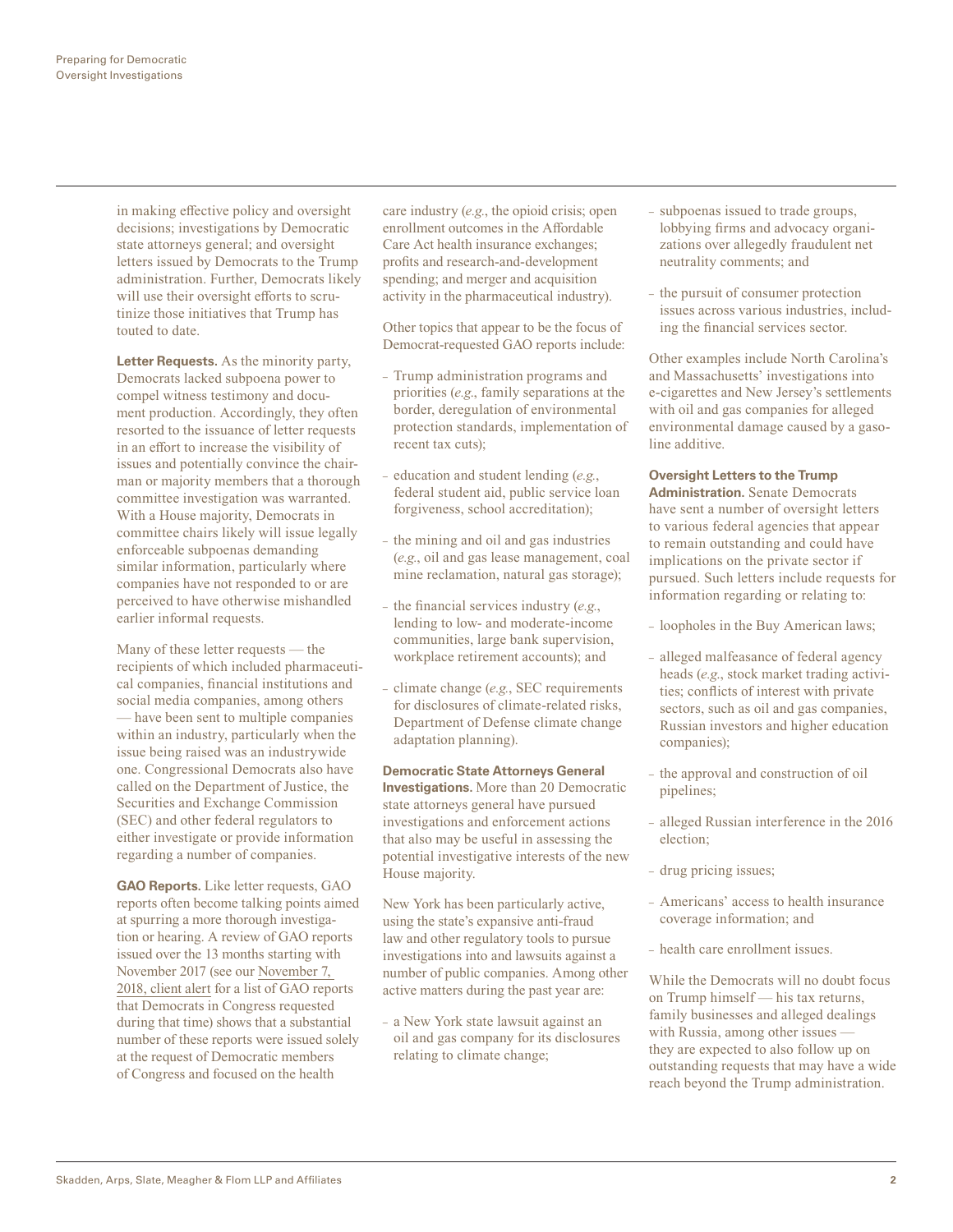in making effective policy and oversight decisions; investigations by Democratic state attorneys general; and oversight letters issued by Democrats to the Trump administration. Further, Democrats likely will use their oversight efforts to scrutinize those initiatives that Trump has touted to date.

**Letter Requests.** As the minority party, Democrats lacked subpoena power to compel witness testimony and document production. Accordingly, they often resorted to the issuance of letter requests in an effort to increase the visibility of issues and potentially convince the chairman or majority members that a thorough committee investigation was warranted. With a House majority, Democrats in committee chairs likely will issue legally enforceable subpoenas demanding similar information, particularly where companies have not responded to or are perceived to have otherwise mishandled earlier informal requests.

Many of these letter requests — the recipients of which included pharmaceutical companies, financial institutions and social media companies, among others — have been sent to multiple companies within an industry, particularly when the issue being raised was an industrywide one. Congressional Democrats also have called on the Department of Justice, the Securities and Exchange Commission (SEC) and other federal regulators to either investigate or provide information regarding a number of companies.

**GAO Reports.** Like letter requests, GAO reports often become talking points aimed at spurring a more thorough investigation or hearing. A review of GAO reports issued over the 13 months starting with November 2017 (see our [November 7,](https://www.skadden.com/insights/publications/2018/11/preparing-for-democratic-oversight-investigations)  [2018, client alert](https://www.skadden.com/insights/publications/2018/11/preparing-for-democratic-oversight-investigations) for a list of GAO reports that Democrats in Congress requested during that time) shows that a substantial number of these reports were issued solely at the request of Democratic members of Congress and focused on the health

care industry (*e.g.*, the opioid crisis; open enrollment outcomes in the Affordable Care Act health insurance exchanges; profits and research-and-development spending; and merger and acquisition activity in the pharmaceutical industry).

Other topics that appear to be the focus of Democrat-requested GAO reports include:

- Trump administration programs and priorities (*e.g*., family separations at the border, deregulation of environmental protection standards, implementation of recent tax cuts);
- education and student lending (*e.g.*, federal student aid, public service loan forgiveness, school accreditation);
- the mining and oil and gas industries (*e.g.*, oil and gas lease management, coal mine reclamation, natural gas storage);
- the financial services industry (*e.g.*, lending to low- and moderate-income communities, large bank supervision, workplace retirement accounts); and
- climate change (*e.g.*, SEC requirements for disclosures of climate-related risks, Department of Defense climate change adaptation planning).

#### **Democratic State Attorneys General**

**Investigations.** More than 20 Democratic state attorneys general have pursued investigations and enforcement actions that also may be useful in assessing the potential investigative interests of the new House majority.

New York has been particularly active, using the state's expansive anti-fraud law and other regulatory tools to pursue investigations into and lawsuits against a number of public companies. Among other active matters during the past year are:

– a New York state lawsuit against an oil and gas company for its disclosures relating to climate change;

- subpoenas issued to trade groups, lobbying firms and advocacy organizations over allegedly fraudulent net neutrality comments; and
- the pursuit of consumer protection issues across various industries, including the financial services sector.

Other examples include North Carolina's and Massachusetts' investigations into e-cigarettes and New Jersey's settlements with oil and gas companies for alleged environmental damage caused by a gasoline additive.

**Oversight Letters to the Trump Administration.** Senate Democrats have sent a number of oversight letters to various federal agencies that appear to remain outstanding and could have implications on the private sector if pursued. Such letters include requests for information regarding or relating to:

- loopholes in the Buy American laws;
- alleged malfeasance of federal agency heads (*e.g*., stock market trading activities; conflicts of interest with private sectors, such as oil and gas companies, Russian investors and higher education companies);
- the approval and construction of oil pipelines;
- alleged Russian interference in the 2016 election;
- drug pricing issues;
- Americans' access to health insurance coverage information; and
- health care enrollment issues.

While the Democrats will no doubt focus on Trump himself — his tax returns, family businesses and alleged dealings with Russia, among other issues they are expected to also follow up on outstanding requests that may have a wide reach beyond the Trump administration.